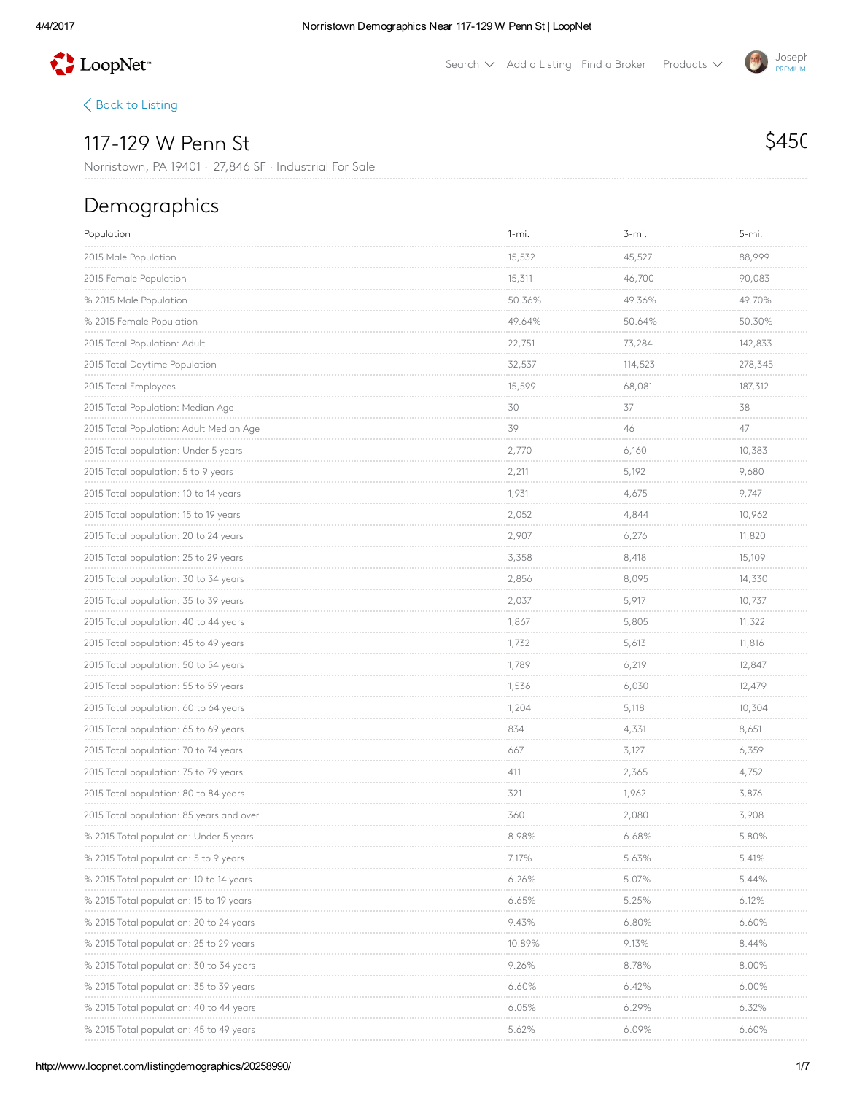

Search  $\vee$  Add a [Listing](http://www.loopnet.com/xNet/MainSite/Listing/Manage/?linkcode=31818) Find a [Broker](http://www.loopnet.com/xNet/MainSite/User/Directory/Search/SearchCriteria.aspx?linkcode=31819) Products  $\vee$ 

 $\langle$  Back to [Listing](http://www.loopnet.com/Listing/20258990/117-129-W-Penn-St-Norristown-PA/)

## 117-129 W Penn St

Norristown, PA 19401 · 27,846 SF · Industrial For Sale

## Demographics

| Population                               | $1 - mi.$                   | 3-mi.                             | 5-mi.                                      |
|------------------------------------------|-----------------------------|-----------------------------------|--------------------------------------------|
| 2015 Male Population                     | 15,532<br><b>CONTRACTOR</b> | 45,527<br><b>CONTRACTOR</b>       | 88,999<br>.                                |
| 2015 Female Population                   | 15,311                      | 46,700                            | 90,083<br>.                                |
| % 2015 Male Population                   | 50.36%                      | 49.36%                            | 49.70%                                     |
| % 2015 Female Population                 | 49.64%<br>.                 | 50.64%<br><b>Contractor</b>       | 50.30%<br><b>Contractor</b>                |
| 2015 Total Population: Adult             | 22,751                      | 73,284                            | 142,833                                    |
| 2015 Total Daytime Population            | 32,537                      | 114,523                           | 278,345<br>.                               |
| 2015 Total Employees                     | 15,599                      | 68,081                            | 187,312<br><b>CONTRACT</b>                 |
| 2015 Total Population: Median Age        | 30                          | 37                                | 38                                         |
| 2015 Total Population: Adult Median Age  | 39<br><b>CONTRACTOR</b>     | 46<br><b>Contractor</b>           | 47<br><b>Contractor</b>                    |
| 2015 Total population: Under 5 years     | 2,770                       | 6,160                             | 10,383                                     |
| 2015 Total population: 5 to 9 years      | 2,211<br><b>CONTRACTOR</b>  | 5,192                             | 9,680<br><b>CONTRACTOR</b>                 |
| 2015 Total population: 10 to 14 years    | 1,931                       | 4,675                             | 9,747                                      |
| 2015 Total population: 15 to 19 years    | 2,052                       | 4,844                             | 10,962                                     |
| 2015 Total population: 20 to 24 years    | 2,907                       | 6,276                             | 11,820<br>.                                |
| 2015 Total population: 25 to 29 years    | 3,358                       | 8,418                             | 15,109                                     |
| 2015 Total population: 30 to 34 years    | 2,856                       | 8,095                             | 14,330<br><b>CONTRACTOR</b>                |
| 2015 Total population: 35 to 39 years    | 2,037                       | 5,917                             | 10,737                                     |
| 2015 Total population: 40 to 44 years    | 1,867                       | 5,805                             | 11,322                                     |
| 2015 Total population: 45 to 49 years    | 1,732<br><b>CONTRACTOR</b>  | 5,613                             | 11,816<br><b>CONTRACTOR</b>                |
| 2015 Total population: 50 to 54 years    | 1,789                       | 6,219                             | 12,847                                     |
| 2015 Total population: 55 to 59 years    | 1,536<br><b>CONTRACTOR</b>  | 6,030<br><b>Service</b>           | 12,479<br><b>Service Control</b>           |
| 2015 Total population: 60 to 64 years    | 1,204                       | 5,118                             | 10,304                                     |
| 2015 Total population: 65 to 69 years    | 834                         | 4,331                             | 8,651                                      |
| 2015 Total population: 70 to 74 years    | 667                         | 3,127<br><b>Service</b>           | 6,359                                      |
| 2015 Total population: 75 to 79 years    | 411                         | 2,365                             | 4,752                                      |
| 2015 Total population: 80 to 84 years    | 321<br><b>CONTRACTOR</b>    | 1,962<br><b>CONTRACTOR</b>        | 3,876<br>.                                 |
| 2015 Total population: 85 years and over | 360                         | 2,080                             | 3,908                                      |
| % 2015 Total population: Under 5 years   | 8.98%                       | 6.68%                             | 5.80%                                      |
| % 2015 Total population: 5 to 9 years    | 7.17%                       | 5.63%                             | 5.41%                                      |
| % 2015 lotal population: 10 to 14 years  | 6.26%                       | 5.07%                             | 5.44%                                      |
| % 2015 Total population: 15 to 19 years  | 6.65%                       | 5.25%                             | $6.12\%$                                   |
| % 2015 lotal population: 20 to 24 years  | 9.43%                       | 6.80%                             | 6.60%                                      |
| % 2015 lotal population: 25 to 29 years  | 10.89%<br><b>CONTRACTOR</b> | 9.13%<br><b>Contract Contract</b> | 8.44%<br><b>Contract Contract Contract</b> |
| % 2015 Iotal population: 30 to 34 years  | 9.26%                       | 8.78%                             | 8.00%                                      |
| % 2015 Total population: 35 to 39 years  | 6.60%                       | 6.42%                             | 6.00%                                      |
| % 2015 Total population: 40 to 44 years  | 6.05%                       | 6.29%                             | $6.32\%$                                   |
| % 2015 lotal population: 45 to 49 years  | 5.62%                       | $6.09\%$                          | 6.60%                                      |

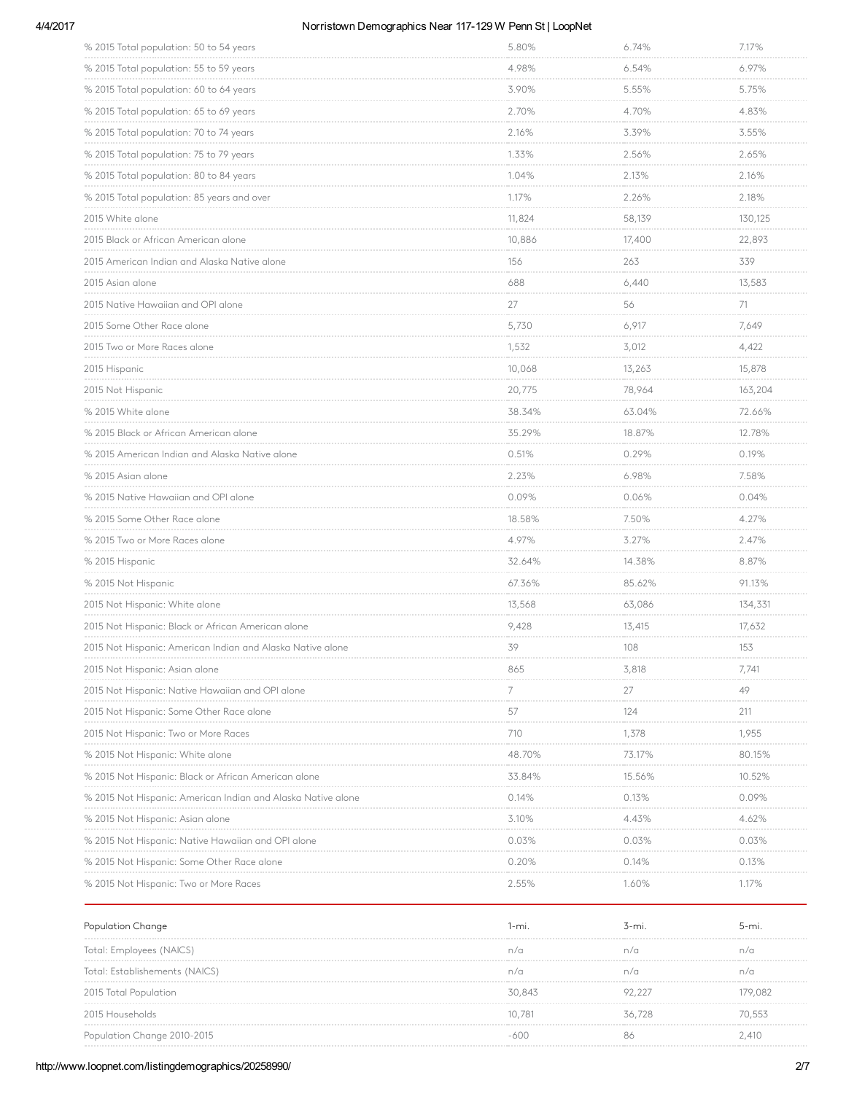### 4/4/2017 Morristown Demographics Near 117-129 W Penn St | LoopNet

| % 2015 Total population: 50 to 54 years                      | 5.80%                             | 6.74%                           | 7.17%                           |
|--------------------------------------------------------------|-----------------------------------|---------------------------------|---------------------------------|
| % 2015 Total population: 55 to 59 years                      | 4.98%                             | 6.54%                           | 6.97%<br>.                      |
| % 2015 Total population: 60 to 64 years                      | 3.90%                             | 5.55%                           | 5.75%                           |
| % 2015 Total population: 65 to 69 years                      | 2.70%<br><b>Contractor</b>        | 4.70%<br>.                      | 4.83%<br><b>CONTRACTOR</b>      |
| % 2015 Total population: 70 to 74 years                      | 2.16%                             | 3.39%                           | 3.55%                           |
| % 2015 Total population: 75 to 79 years                      | 1.33%                             | 2.56%                           | 2.65%                           |
| % 2015 Total population: 80 to 84 years                      | 1.04%<br><b>Contractor</b>        | 2.13%<br>.                      | 2.16%<br><b>Contractor</b>      |
| % 2015 Total population: 85 years and over                   | 1.17%                             | 2.26%                           | 2.18%                           |
| 2015 White alone                                             | 11,824                            | 58,139                          | 130,125                         |
| 2015 Black or African American alone                         | 10,886                            | 17,400                          | 22,893<br><b>CONTRACTOR</b>     |
| 2015 American Indian and Alaska Native alone                 | 156                               | 263                             | 339                             |
| 2015 Asian alone                                             | 688                               | 6,440                           | 13,583<br><b>CONTRACTOR</b>     |
| 2015 Native Hawaiian and OPI alone                           | 27                                | 56                              | 71<br><b>CONTRACTOR</b>         |
| 2015 Some Other Race alone                                   | 5,730<br><b>Contractor</b>        | 6,917<br><b>Service Control</b> | 7,649<br><b>Service Control</b> |
| 2015 Two or More Races alone                                 | 1,532                             | 3,012                           | 4,422                           |
| 2015 Hispanic                                                | 10,068<br>.                       | 13,263                          | 15,878<br>.                     |
| 2015 Not Hispanic                                            | 20,775                            | 78,964                          | 163,204                         |
| % 2015 White alone                                           | 38.34%                            | 63.04%                          | 72.66%                          |
| % 2015 Black or African American alone                       | 35.29%<br><b>Contractor</b>       | 18.87%<br><b>CONTRACTOR</b>     | 12.78%<br>.                     |
| % 2015 American Indian and Alaska Native alone               | 0.51%                             | 0.29%                           | 0.19%                           |
| % 2015 Asian alone                                           | 2.23%<br><b>CONTRACTOR</b>        | 6.98%<br>.                      | 7.58%<br><b>CONTRACTOR</b>      |
| % 2015 Native Hawaiian and OPI alone                         | 0.09%                             | 0.06%                           | 0.04%                           |
| % 2015 Some Other Race alone                                 | 18.58%<br>.                       | 7.50%                           | 4.27%                           |
| % 2015 Two or More Races alone                               | 4.97%<br>.                        | 3.27%<br>.                      | 2.47%<br><b>CONTRACTOR</b>      |
| % 2015 Hispanic                                              | 32.64%                            | 14.38%                          | 8.87%                           |
| % 2015 Not Hispanic                                          | 67.36%                            | 85.62%                          | 91.13%                          |
| 2015 Not Hispanic: White alone                               | 13,568                            | 63,086                          | 134,331                         |
| 2015 Not Hispanic: Black or African American alone           | 9,428                             | 13,415                          | 17,632                          |
| 2015 Not Hispanic: American Indian and Alaska Native alone   | 39                                | 108                             | 153                             |
| 2015 Not Hispanic: Asian alone                               | 865                               | 3,818                           | 7,741                           |
| 2015 Not Hispanic: Native Hawaiian and OPI alone             | 7                                 | 27                              | 49                              |
| 2015 Not Hispanic: Some Other Race alone                     | 57                                | 124                             | 211                             |
| 2015 Not Hispanic: Two or More Races                         | 710                               | 1,378                           | 1,955                           |
| % 2015 Not Hispanic: White alone                             | 48.70%                            | 73.17%                          | 80.15%                          |
| % 2015 Not Hispanic: Black or African American alone         | 33.84%                            | 15.56%                          | 10.52%                          |
| % 2015 Not Hispanic: American Indian and Alaska Native alone | 0.14%                             | 0.13%                           | 0.09%                           |
| % 2015 Not Hispanic: Asian alone                             | 3.10%                             | 4.43%                           | 4.62%                           |
| % 2015 Not Hispanic: Native Hawaiian and OPI alone           | 0.03%<br><b>Contract Contract</b> | 0.03%<br><b>CONTRACTOR</b>      | 0.03%<br>.                      |
| % 2015 Not Hispanic: Some Other Race alone                   | 0.20%                             | 0.14%                           | 0.13%                           |
| % 2015 Not Hispanic: Iwo or More Races                       | 2.55%                             | 1.60%                           | 1.17%                           |

| Population Change              | $-mi$  | i-mi   | b-mi    |
|--------------------------------|--------|--------|---------|
| Iotal: Employees (NAICS)       |        | n/c    | n/a     |
| Total: Establishements (NAICS) |        | n/c    | n/a     |
| 2015 Total Population          | 30,843 | 92.227 | 179,082 |
| 2015 Households                | 10.781 | 36.728 | 70.553  |
| Population Change 2010-2015    |        | 86     | .410    |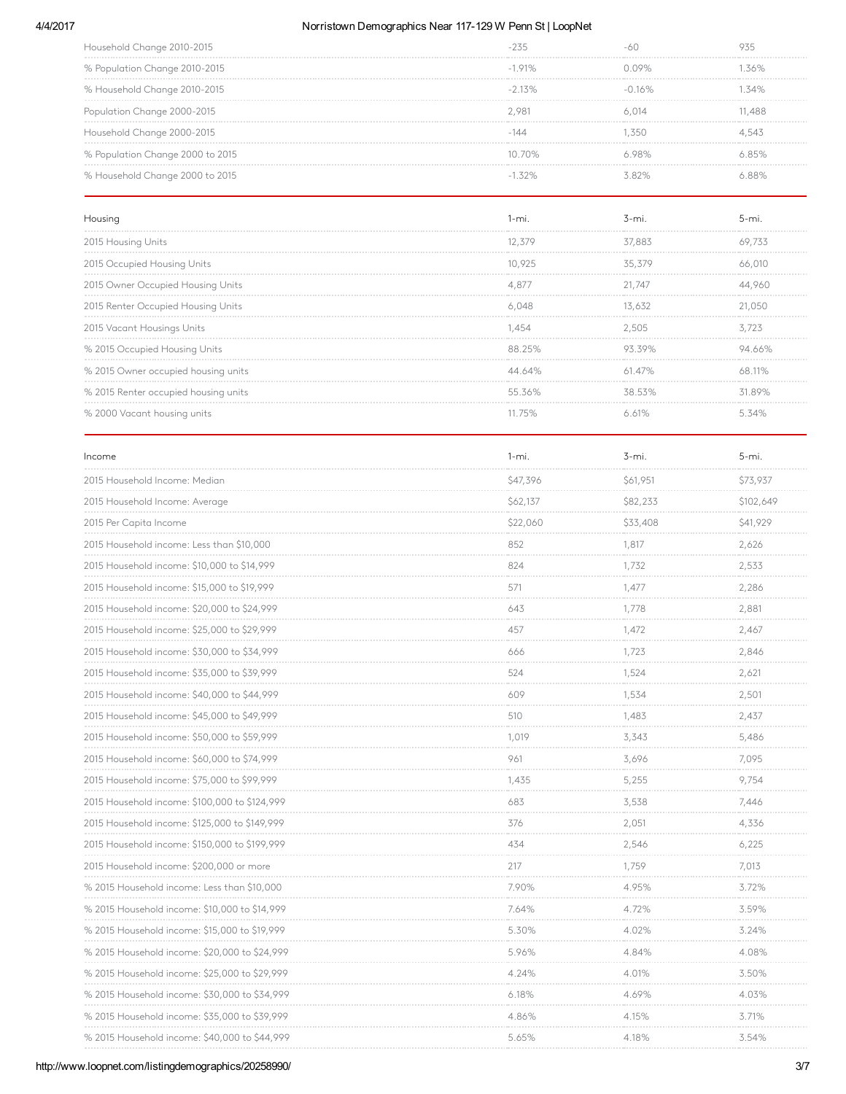### 4/4/2017 Morristown Demographics Near 117-129 W Penn St | LoopNet

| Household Change 2010-2015       |           |                  |       |
|----------------------------------|-----------|------------------|-------|
| % Population Change 2010-2015    | $-191%$   | ገ በዓ%            | 36%   |
| % Household Change 2010-2015     | $-213%$   | $-0.16\%$        | 34%   |
| Population Change 2000-2015      | 2.981     | 6 014            | 1,488 |
| Household Change 2000-2015       |           | .35C             | 4,543 |
| % Population Change 2000 to 2015 | $10,70\%$ | ORO <sub>6</sub> | 85%   |
| % Household Change 2000 to 2015  |           | 3 ጸን%            |       |

| Housinc                              |        |        |         |
|--------------------------------------|--------|--------|---------|
| 2015 Housing Units                   | 12.379 | 37.883 |         |
| 2015 Occupied Housing Units          | 10,925 | 35.379 |         |
| 2015 Owner Occupied Housing Units    | 4.87/  | 21.747 |         |
| 2015 Renter Occupied Housing Units   | 6 NAR  |        | 21 O.SC |
| 2015 Vacant Housings Units           | .454   | 2.505  | 3.723   |
| % 2015 Occupied Housing Units        | 88 25% |        |         |
| % 2015 Owner occupied housing units  | 44 64% | 61.47% |         |
| % 2015 Renter occupied housing units | 5536%  | 38.53% | 31.89%  |
| % 2000 Vacant housing units          |        |        |         |

| Income                                        | $1 - mi.$  | 3-mi.                      | 5-mi.                          |
|-----------------------------------------------|------------|----------------------------|--------------------------------|
| 2015 Household Income: Median                 | \$47,396   | \$61,951                   | \$73,937<br>.                  |
| 2015 Household Income: Average                | \$62,137   | \$82,233                   | \$102,649                      |
| 2015 Per Capita Income                        | \$22,060   | \$33,408                   | \$41,929                       |
| 2015 Household income: Less than \$10,000     | 852        | 1.817<br>and a company     | 2.626<br>.                     |
| 2015 Household income: \$10,000 to \$14,999   | 824        | 1,732                      | 2,533                          |
| 2015 Household income: \$15,000 to \$19,999   | 571<br>.   | 1.477<br><b>Contractor</b> | 2,286<br><b>Contractor</b>     |
| 2015 Household income: \$20,000 to \$24,999   | 643        | 1.778                      | 2,881                          |
| 2015 Household income: \$25,000 to \$29,999   | 457        | 1,472                      | 2,467                          |
| 2015 Household income: \$30,000 to \$34,999   | 666        | 1.723<br><b>Contractor</b> | 2,846<br><b>CONTRACTOR</b>     |
| 2015 Household income: \$35,000 to \$39,999   | 524        | 1,524                      | 2,621<br>.                     |
| 2015 Household income: \$40,000 to \$44,999   | 609        | 1,534                      | 2,501<br>.                     |
| 2015 Household income: \$45,000 to \$49,999   | 510        | 1.483                      | 2,437                          |
| 2015 Household income: \$50,000 to \$59,999   | 1,019      | 3,343                      | 5,486                          |
| 2015 Household income: \$60,000 to \$74,999   | 961        | 3,696                      | 7,095<br><b>Service Common</b> |
| 2015 Household income: \$75,000 to \$99,999   | 1.435      | 5,255                      | 9,754                          |
| 2015 Household income: \$100,000 to \$124,999 | 683        | 3,538                      | 7,446                          |
| 2015 Household income: \$125,000 to \$149,999 | 376<br>.   | 2,051<br>.                 | 4,336<br><b>Contractor</b>     |
| 2015 Household income: \$150,000 to \$199,999 | 434        | 2,546                      | 6,225                          |
| 2015 Household income: \$200,000 or more      | 217        | 1,759                      | 7,013                          |
| % 2015 Household income: Less than \$10,000   | 7.90%      | 4.95%                      | 3.72%<br>.                     |
| % 2015 Household income: \$10,000 to \$14,999 | 7.64%      | 4.72%                      | 3.59%                          |
| % 2015 Household income: \$15,000 to \$19,999 | 5.30%      | 4.02%                      | 3.24%<br>.                     |
| % 2015 Household income: \$20,000 to \$24,999 | 5.96%      | 4.84%                      | 4.08%                          |
| % 2015 Household income: \$25,000 to \$29,999 | 4.24%      | 4.01%                      | 3.50%                          |
| % 2015 Household income: \$30,000 to \$34,999 | 6.18%<br>. | 4.69%<br><b>CONTRACTOR</b> | 4.03%<br><b>CONTRACTOR</b>     |
| % 2015 Household income: \$35,000 to \$39,999 | 4.86%      | 4.15%                      | 3.71%                          |
| % 2015 Household income: \$40,000 to \$44,999 | 5.65%      | 4.18%                      | 3.54%                          |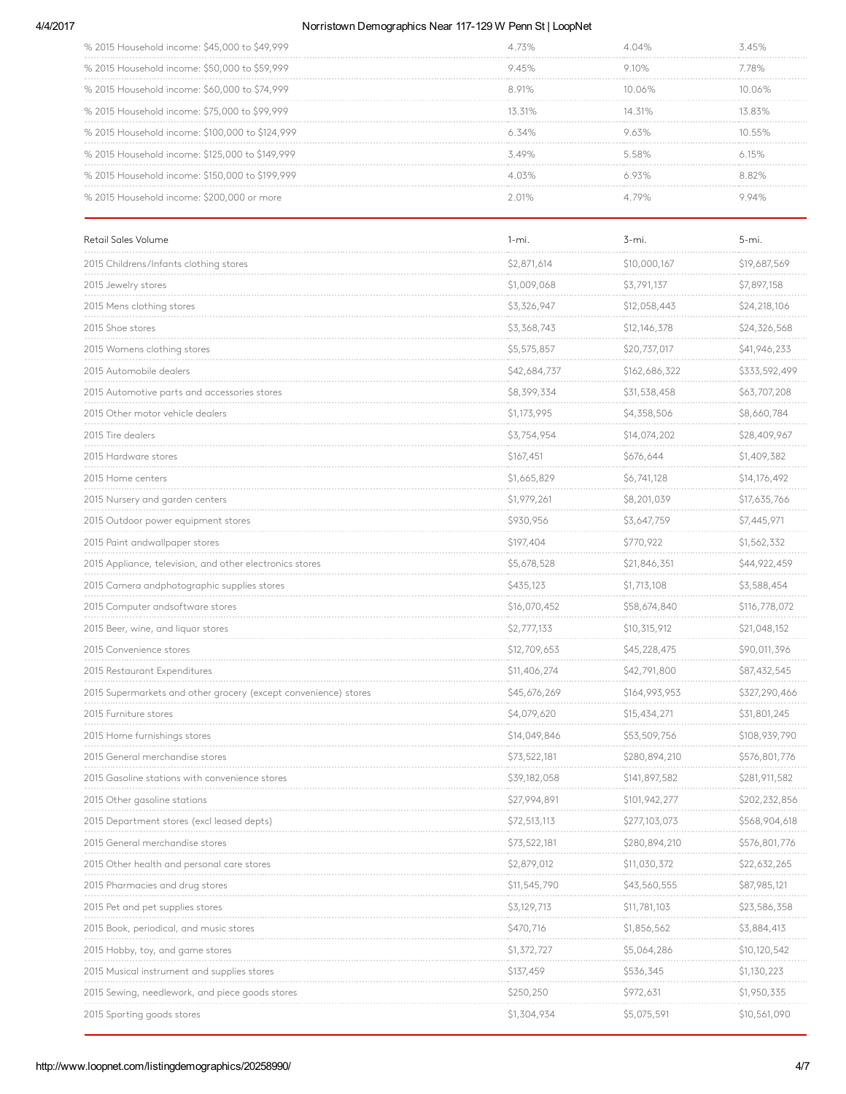### 4/4/2017 Morristown Demographics Near 117-129 W Penn St | LoopNet

| % 2015 Household income: \$45,000 to \$49,999   |          |           |       |
|-------------------------------------------------|----------|-----------|-------|
| % 2015 Household income: \$50,000 to \$59,999   | 945%     | ⊋ 1∩%.    | 78%   |
| % 2015 Household income: \$60,000 to \$74,999   | 891%     | 1በ በ6%    |       |
| % 2015 Household income: \$75,000 to \$99,999   | 13 31%   | $14.31\%$ | 383%  |
| % 2015 Household income: \$100,000 to \$124,999 | 634%     |           |       |
| % 2015 Household income: \$125,000 to \$149,999 | 3 10%.   | 58%       |       |
| % 2015 Household income: \$150,000 to \$199,999 | $4.03\%$ |           | 8 82% |
| % 2015 Household income: \$200,000 or more      |          |           |       |

| Retail Sales Volume                                             | $1 - mi.$    | 3-mi.         | 5-mi.                                 |
|-----------------------------------------------------------------|--------------|---------------|---------------------------------------|
| 2015 Childrens/Infants clothing stores                          | \$2,871,614  | \$10,000,167  | \$19,687,569                          |
| 2015 Jewelry stores                                             | \$1,009,068  | \$3,791,137   | \$7,897,158                           |
| 2015 Mens clothing stores                                       | \$3,326,947  | \$12,058,443  | \$24,218,106                          |
| 2015 Shoe stores                                                | \$3,368,743  | \$12,146,378  | \$24,326,568                          |
| 2015 Womens clothing stores                                     | \$5,575,857  | \$20,737,017  | \$41,946,233                          |
| 2015 Automobile dealers                                         | \$42,684,737 | \$162,686,322 | \$333,592,499                         |
| 2015 Automotive parts and accessories stores                    | \$8,399,334  | \$31,538,458  | \$63,707,208                          |
| 2015 Other motor vehicle dealers                                | \$1,173,995  | \$4,358,506   | \$8,660,784                           |
| 2015 Tire dealers                                               | \$3,754,954  | \$14,074,202  | \$28,409,967                          |
| 2015 Hardware stores                                            | \$167,451    | \$676,644     | \$1,409,382                           |
| 2015 Home centers                                               | \$1,665,829  | \$6,741,128   | \$14,176,492                          |
| 2015 Nursery and garden centers                                 | \$1,979,261  | \$8,201,039   | \$17,635,766                          |
| 2015 Outdoor power equipment stores                             | \$930,956    | \$3,647,759   | \$7,445,971                           |
| 2015 Paint andwallpaper stores                                  | \$197,404    | \$770,922     | \$1,562,332                           |
| 2015 Appliance, television, and other electronics stores        | \$5,678,528  | \$21,846,351  | \$44,922,459                          |
| 2015 Camera andphotographic supplies stores                     | \$435,123    | \$1,713,108   | \$3,588,454                           |
| 2015 Computer andsoftware stores                                | \$16,070,452 | \$58,674,840  | \$116,778,072<br>and a company of the |
| 2015 Beer, wine, and liquor stores                              | \$2,777,133  | \$10,315,912  | \$21,048,152                          |
| 2015 Convenience stores                                         | \$12,709,653 | \$45,228,475  | \$90,011,396                          |
| 2015 Restaurant Expenditures                                    | \$11,406,274 | \$42,791,800  | \$87,432,545                          |
| 2015 Supermarkets and other grocery (except convenience) stores | \$45,676,269 | \$164,993,953 | \$327,290,466                         |
| 2015 Furniture stores                                           | \$4,079,620  | \$15,434,271  | \$31,801,245                          |
| 2015 Home furnishings stores                                    | \$14,049,846 | \$53,509,756  | \$108,939,790                         |
| 2015 General merchandise stores                                 | \$73,522,181 | \$280,894,210 | \$576,801,776                         |
| 2015 Gasoline stations with convenience stores                  | \$39,182,058 | \$141,897,582 | \$281,911,582                         |
| 2015 Other gasoline stations                                    | \$27,994,891 | \$101,942,277 | \$202,232,856                         |
| 2015 Department stores (excl leased depts)                      | \$72,513,113 | \$277,103,073 | \$568,904,618                         |
| 2015 General merchandise stores                                 | \$73,522,181 | \$280,894,210 | \$576,801,776                         |
| 2015 Other health and personal care stores                      | \$2,879,012  | \$11,030,372  | \$22,632,265                          |
| 2015 Pharmacies and drug stores                                 | \$11,545,790 | \$43,560,555  | \$87,985,121                          |
| 2015 Pet and pet supplies stores                                | \$3,129,713  | \$11,781,103  | \$23,586,358                          |
| 2015 Book, periodical, and music stores                         | \$470,716    | \$1,856,562   | \$3,884,413                           |
| 2015 Hobby, toy, and game stores                                | \$1,372,727  | \$5,064,286   | \$10,120,542                          |
| 2015 Musical instrument and supplies stores                     | \$137,459    | \$536,345     | \$1,130,223                           |
| 2015 Sewing, needlework, and piece goods stores                 | \$250,250    | \$972,631     | \$1,950,335                           |
| 2015 Sporting goods stores                                      | \$1,304,934  | \$5,075,591   | \$10,561,090                          |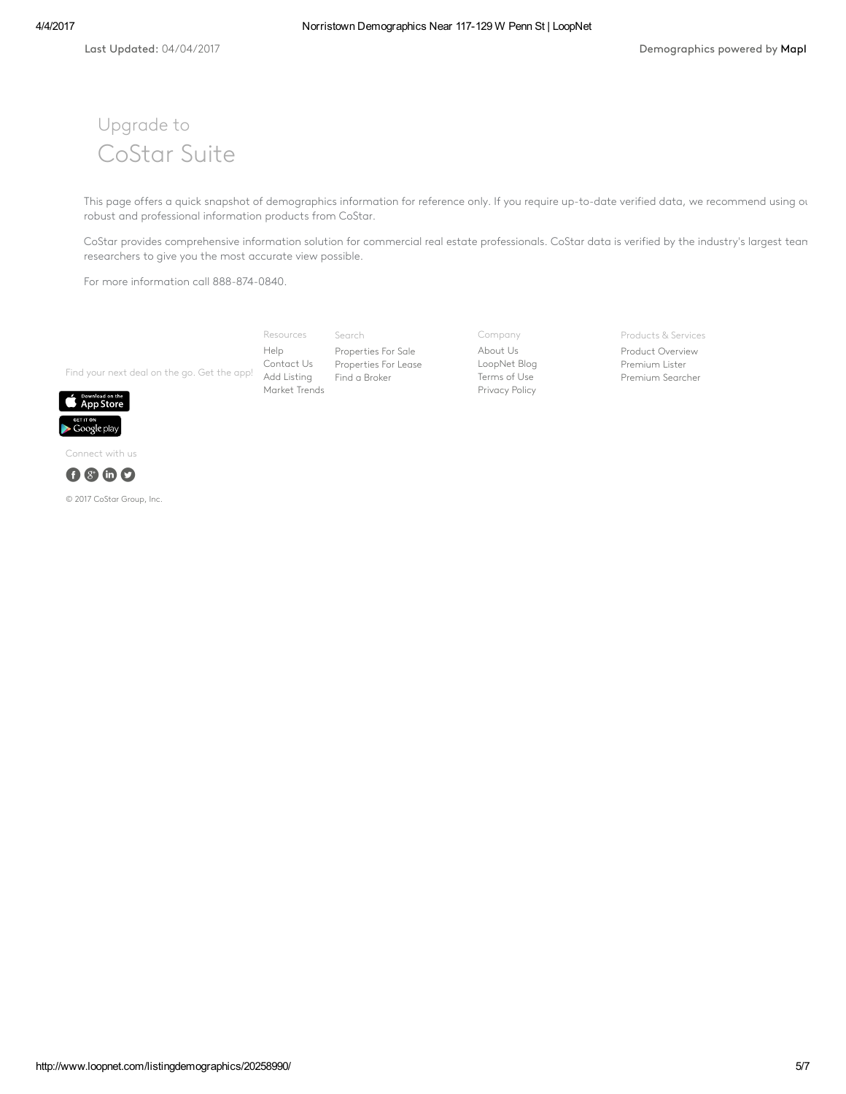# Upgrade to CoStar Suite

This page offers a quick snapshot of demographics information for reference only. If you require up-to-date verified data, we recommend using our robust and professional information products from CoStar.

CoStar provides comprehensive information solution for commercial real estate professionals. CoStar data is verified by the industry's largest tean researchers to give you the most accurate view possible.

For more information call 888-874-0840.

Find your next deal on the go. Get the app! Search [Properties](http://www.loopnet.com/listingdemographics/20258990/) For Sale [Properties](http://www.loopnet.com/listingdemographics/20258990/) For Lease Find a [Broker](http://www.loopnet.com/xNet/MainSite/User/Directory/Search/SearchCriteria.aspx?LinkCode=31843) Resources [Help](http://www.loopnet.com/xNet/MainSite/Marketing/About/Help.aspx?LinkCode=31853) [Contact](http://www.loopnet.com/xNet/MainSite/Marketing/Contact/?LinkCode=31854) Us Add [Listing](http://www.loopnet.com/xNet/MainSite/Listing/Manage/?LinkCode=31855) [Market](http://www.loopnet.com/markettrends/) Trends

Company [About](http://www.loopnet.com/About-Us/?LinkCode=31858) Us [LoopNet](http://blog.loopnet.com/?LinkCode=31861) Blog [Terms](http://www.loopnet.com/xNet/MainSite/Marketing/About/TermsAndConditions.aspx?LinkCode=31859) of Use [Privacy](http://www.loopnet.com/xNet/MainSite/Marketing/About/Privacy.aspx?LinkCode=31860) Policy

Products & Services

Product [Overview](http://www.loopnet.com/products/?LinkCode=31844) [Premium](http://www.loopnet.com/products/PremiumMembership/?LinkCode=31845) Lister [Premium](http://www.loopnet.com/xNet/MainSite/Marketing/Products/SearcherPro/?LinkCode=31846) Searcher



Connect with us



© 2017 CoStar Group, Inc.